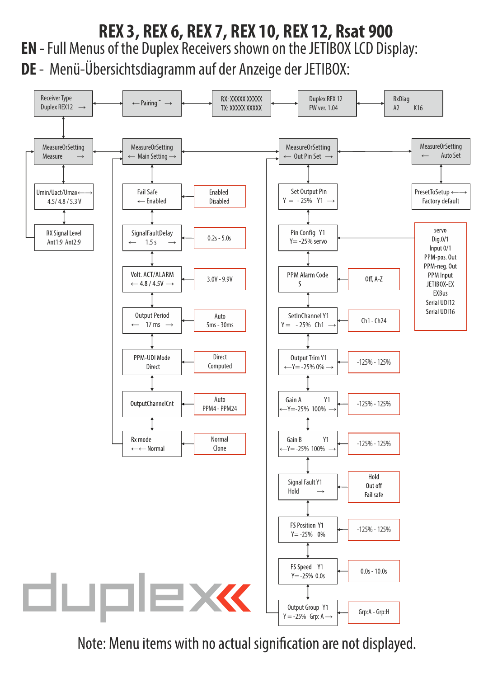## **EN** - Full Menus of the Duplex Receivers shown on the JETIBOX LCD Display: **DE** - Menü-Übersichtsdiagramm auf der Anzeige der JETIBOX: **REX 3, REX 6, REX 7, REX 10, REX 12, Rsat 900**



Note: Menu items with no actual signification are not displayed.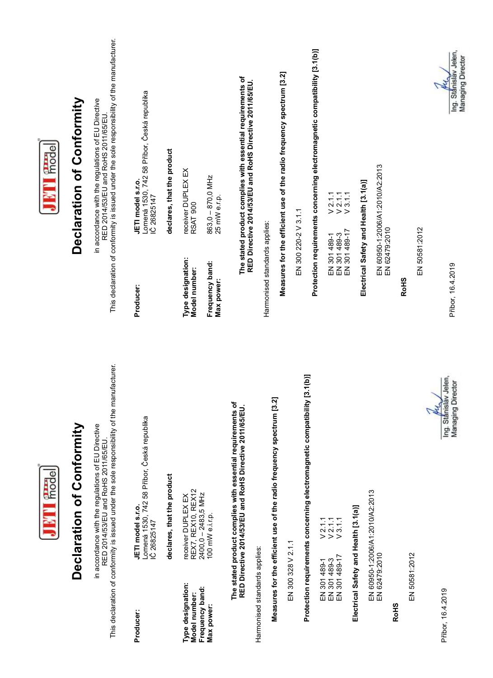| JET Frode                          | Declaration of Conformity | This declaration of conformity is issued under the sole responsibility of the manufacturer.<br>in accordance with the regulations of EU Directive<br>RED 2014/53/EU and RoHS 2011/65/EU. | Lomená 1530, 742 58 Přibor, Česká republika<br>JETI model s.r.o.<br>IČ 26825147<br>Producer: | declares, that the product | receiver DUPLEX EX<br>RSAT 900<br>Type designation:<br>Model number:               | 863,0 - 870,0 MHz<br>25 mW e.r.p.<br>Frequency band:<br>Max power: | The stated product complies with essential requirements of<br>RED Directive 2014/53/EU and RoHS Directive 2011/65/EU. |                               | Harmonised standards applies:                                        | Measures for the efficient use of the radio frequency spectrum [3.2] | EN 300 220-2 V 3.1.1                                                      | Protection requirements concerning electromagnetic compatibility [3.1(b)] | $V2111$<br>$V2111$<br>V3.1.1<br>EN 301489-17<br>EN 301 489-3<br>EN 301 489-1                          |                                       | Electrical Safety and Health [3.1(a)] | EN 60950-1:2006/A1:2010/A2:2013<br>EN 62479:2010 | RoH <sub>S</sub> | EN 50581:2012 | Příbor, 16.4.2019<br>Ing. Stanislav Jelen,<br><b>Managing Director</b> |
|------------------------------------|---------------------------|------------------------------------------------------------------------------------------------------------------------------------------------------------------------------------------|----------------------------------------------------------------------------------------------|----------------------------|------------------------------------------------------------------------------------|--------------------------------------------------------------------|-----------------------------------------------------------------------------------------------------------------------|-------------------------------|----------------------------------------------------------------------|----------------------------------------------------------------------|---------------------------------------------------------------------------|---------------------------------------------------------------------------|-------------------------------------------------------------------------------------------------------|---------------------------------------|---------------------------------------|--------------------------------------------------|------------------|---------------|------------------------------------------------------------------------|
| <b>BTT</b> fried<br>$\blacksquare$ | Declaration of Conformity | This declaration of conformity is issued under the sole responsibility of the manufacturer.<br>in accordance with the regulations of EU Directive<br>RED 2014/53/EU and RoHS 2011/65/EU  | Lomená 1530, 742 58 Příbor, Česká republika<br>IČ 26825147<br>JETI model s.r.o.              | declares, that the product | receiver DUPLEX EX<br>REX7, REX10, REX12<br>2400,0 – 2483,5 MHz<br>100 mW e.i.r.p. |                                                                    | The stated product complies with essential requirements of<br>RED Directive 2014/53/EU and RoHS Directive 2011/65/EU. |                               | Measures for the efficient use of the radio frequency spectrum [3.2] | EN 300 328 V 2.1.1                                                   | Protection requirements concerning electromagnetic compatibility [3.1(b)] |                                                                           | $\frac{21.1}{21.1}$<br>$\sqrt{2.1.1}$<br>$\sqrt{3.1.1}$<br>EN 301489-1<br>EN 301489-3<br>EN 301489-17 | Electrical Safety and Health [3.1(a)] |                                       | EN 60950-1:2006/A1:2010/A2:2013<br>EN 62479:2010 |                  | EN 50581:2012 |                                                                        |
|                                    |                           |                                                                                                                                                                                          | Producer:                                                                                    |                            | Type designation:<br>Model number:                                                 | Frequency band:<br>Max power:                                      |                                                                                                                       | Harmonised standards applies: |                                                                      |                                                                      |                                                                           |                                                                           |                                                                                                       |                                       |                                       |                                                  | RoH <sub>S</sub> |               | Přibor, 16.4.2019                                                      |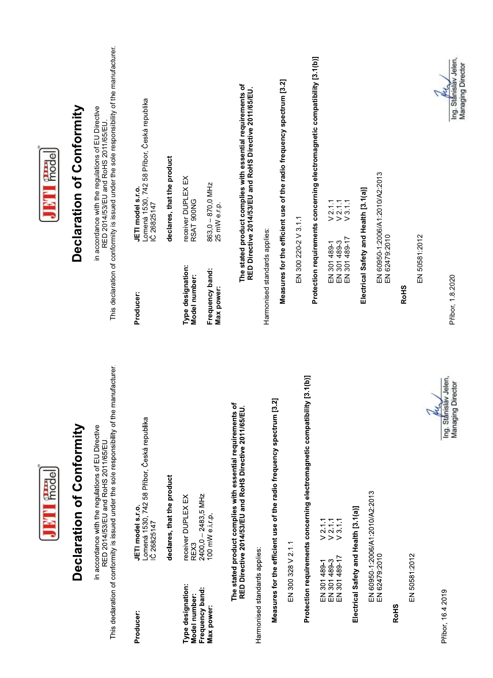| JETT Frode  | Declaration of Conformity | This declaration of conformity is issued under the sole responsibility of the manufacturer<br>in accordance with the regulations of EU Directive<br>RED 2014/53/EU and RoHS 2011/65/EU | Lomená 1530, 742 58 Příbor, Česká republika<br>JETI model s.r.o.<br>IČ 26825147<br>Producer: | declares, that the product | receiver DUPLEX EX<br>RSAT 900NG<br>Type designation:<br>Model number: | 863,0 - 870,0 MHz<br>25 mW e.r.p.<br>Frequency band:<br>Max power: | The stated product complies with essential requirements of<br>RED Directive 2014/53/EU and RoHS Directive 2011/65/EU.                       |                               | Harmonised standards applies:                                           | Measures for the efficient use of the radio frequency spectrum [3.2] | EN 300 220-2 V 3.1.1                                                      | Protection requirements concerning electromagnetic compatibility [3.1(b)] | $V$ 2.1.1<br>$V$ 2.1.1<br>$V$ 3.1.1<br>EN 301 489-1<br>EN 301 489-3<br>EN 301 489-17 |                                       | Electrical Safety and Health [3.1(a)] | EN 60950-1:2006/A1:2010/A2:2013<br>EN 62479:2010 | RoH <sub>S</sub> |               | EN 50581:2012 | Ing. Stánisláv Jelen,<br><b>Managing Director</b><br>Přibor, 1.8.2020 |
|-------------|---------------------------|----------------------------------------------------------------------------------------------------------------------------------------------------------------------------------------|----------------------------------------------------------------------------------------------|----------------------------|------------------------------------------------------------------------|--------------------------------------------------------------------|---------------------------------------------------------------------------------------------------------------------------------------------|-------------------------------|-------------------------------------------------------------------------|----------------------------------------------------------------------|---------------------------------------------------------------------------|---------------------------------------------------------------------------|--------------------------------------------------------------------------------------|---------------------------------------|---------------------------------------|--------------------------------------------------|------------------|---------------|---------------|-----------------------------------------------------------------------|
| JETI frodel | Declaration of Conformity | This declaration of conformity is issued under the sole responsibility of the manufacturer<br>in accordance with the regulations of EU Directive<br>RED 2014/53/EU and RoHS 2011/65/EU | Lomená 1530, 742 58 Příbor, Česká republika<br>IČ 26825147<br>JETI model s.r.o.              | declares, that the product | DUPLEX EX<br>receiver<br>REX3                                          | 2400,0 - 2483,5 MHz<br>eirp<br>100 mW                              | The stated product complies with essential requirements of<br>RED Directive 2014/53/EU and RoHS Directive 2011/65/EU.<br>The stated product | Harmonised standards applies: | use of the radio frequency spectrum [3.2]<br>Measures for the efficient | EN 300 328 V 2 1 1                                                   | Protection requirements concerning electromagnetic compatibility [3.1(b)] |                                                                           | $777$<br>$277$<br>$39$<br>EN 301489-1<br>EN 301489-3<br>EN 301489-17                 | Electrical Safety and Health [3.1(a)] | :2010/A2:2013                         | EN 60950-1:2006/A1<br>EN 62479:2010              |                  | EN 50581:2012 |               | Ing. Stanislav Jelen,<br><b>Managing Director</b>                     |
|             |                           |                                                                                                                                                                                        | Producer:                                                                                    |                            | Type designation:<br>Model number:                                     | Frequency band:<br>Max power:                                      |                                                                                                                                             |                               |                                                                         |                                                                      |                                                                           |                                                                           |                                                                                      |                                       |                                       |                                                  | <b>RoHS</b>      |               |               | Příbor, 1642019                                                       |

 $\overline{a}$